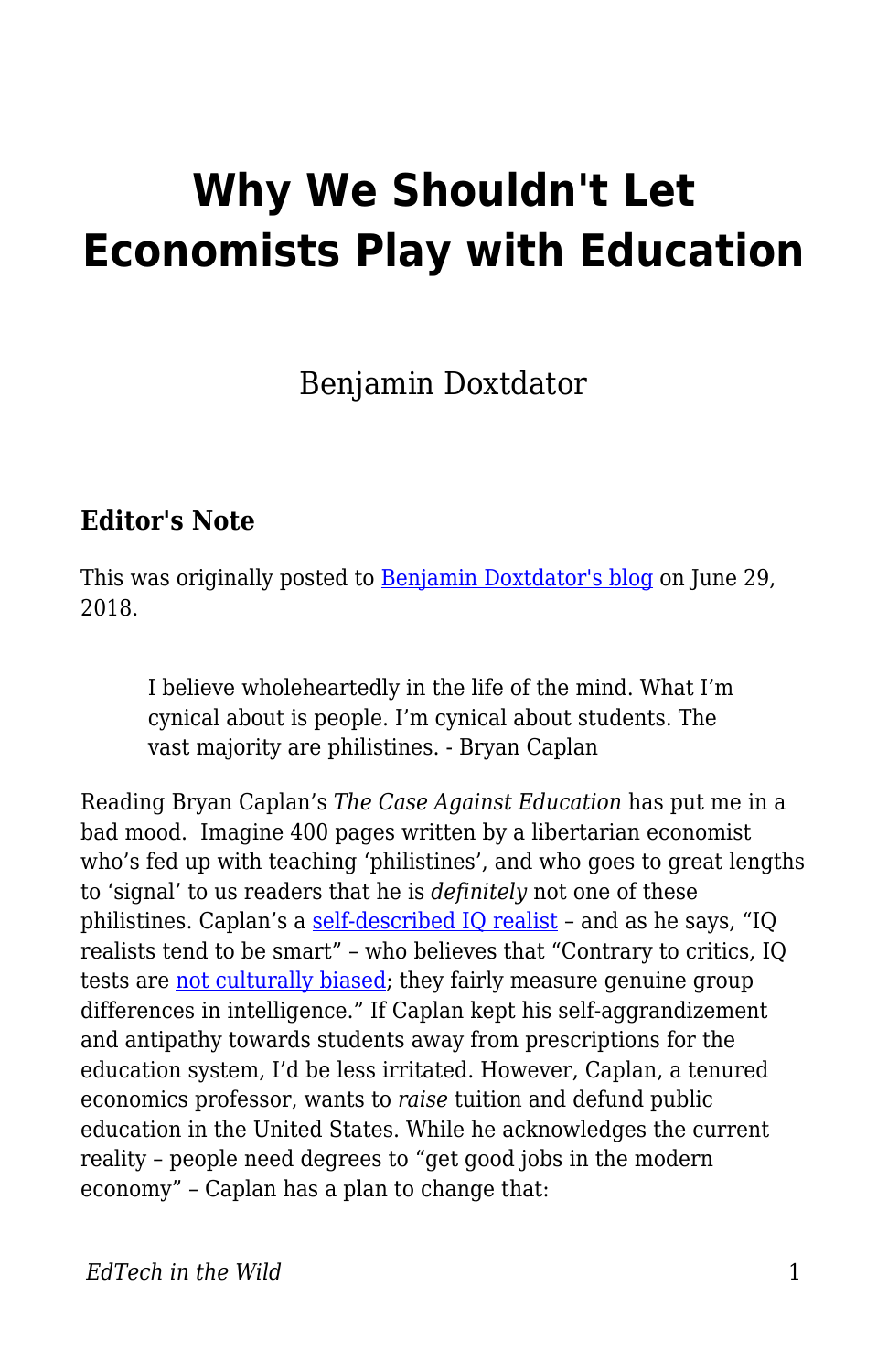# **Why We Shouldn't Let Economists Play with Education**

Benjamin Doxtdator

#### **Editor's Note**

This was originally posted to **Benjamin Doxtdator's blog on June 29**, 2018.

I believe wholeheartedly in the life of the mind. What I'm cynical about is people. I'm cynical about students. The vast majority are philistines. - Bryan Caplan

Reading Bryan Caplan's *The Case Against Education* has put me in a bad mood. Imagine 400 pages written by a libertarian economist who's fed up with teaching 'philistines', and who goes to great lengths to 'signal' to us readers that he is *definitely* not one of these philistines. Caplan's a [self-described IQ realist](http://www.econlib.org/archives/2017/04/iq_with_conscie.html) - and as he says, "IQ realists tend to be smart" – who believes that "Contrary to critics, IQ tests are [not culturally biased](http://psycnet.apa.org/journals/spq/14/3/208.pdf); they fairly measure genuine group differences in intelligence." If Caplan kept his self-aggrandizement and antipathy towards students away from prescriptions for the education system, I'd be less irritated. However, Caplan, a tenured economics professor, wants to *raise* tuition and defund public education in the United States. While he acknowledges the current reality – people need degrees to "get good jobs in the modern economy" – Caplan has a plan to change that: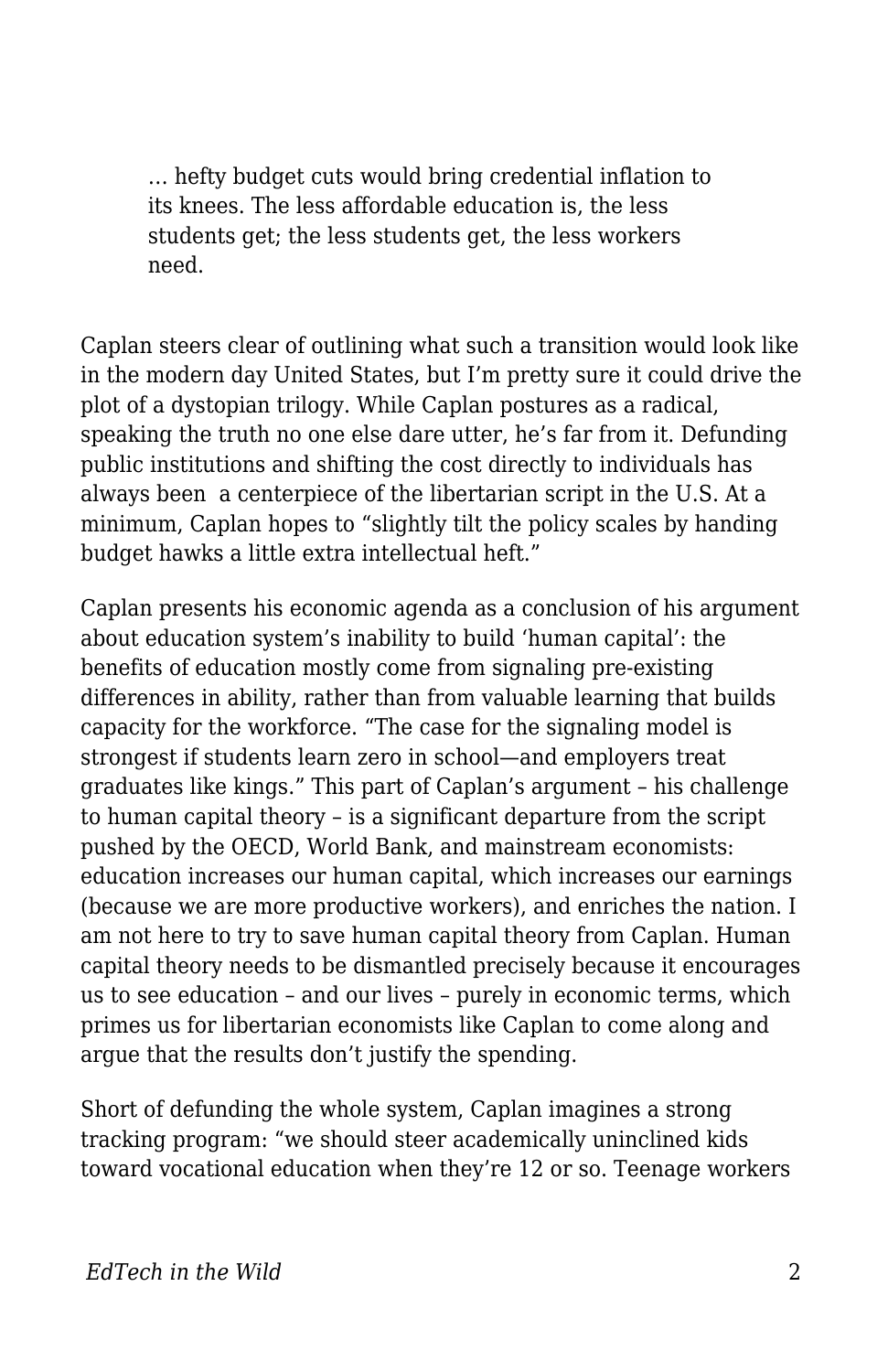… hefty budget cuts would bring credential inflation to its knees. The less affordable education is, the less students get; the less students get, the less workers need.

Caplan steers clear of outlining what such a transition would look like in the modern day United States, but I'm pretty sure it could drive the plot of a dystopian trilogy. While Caplan postures as a radical, speaking the truth no one else dare utter, he's far from it. Defunding public institutions and shifting the cost directly to individuals has always been a centerpiece of the libertarian script in the U.S. At a minimum, Caplan hopes to "slightly tilt the policy scales by handing budget hawks a little extra intellectual heft."

Caplan presents his economic agenda as a conclusion of his argument about education system's inability to build 'human capital': the benefits of education mostly come from signaling pre-existing differences in ability, rather than from valuable learning that builds capacity for the workforce. "The case for the signaling model is strongest if students learn zero in school—and employers treat graduates like kings." This part of Caplan's argument – his challenge to human capital theory – is a significant departure from the script pushed by the OECD, World Bank, and mainstream economists: education increases our human capital, which increases our earnings (because we are more productive workers), and enriches the nation. I am not here to try to save human capital theory from Caplan. Human capital theory needs to be dismantled precisely because it encourages us to see education – and our lives – purely in economic terms, which primes us for libertarian economists like Caplan to come along and argue that the results don't justify the spending.

Short of defunding the whole system, Caplan imagines a strong tracking program: "we should steer academically uninclined kids toward vocational education when they're 12 or so. Teenage workers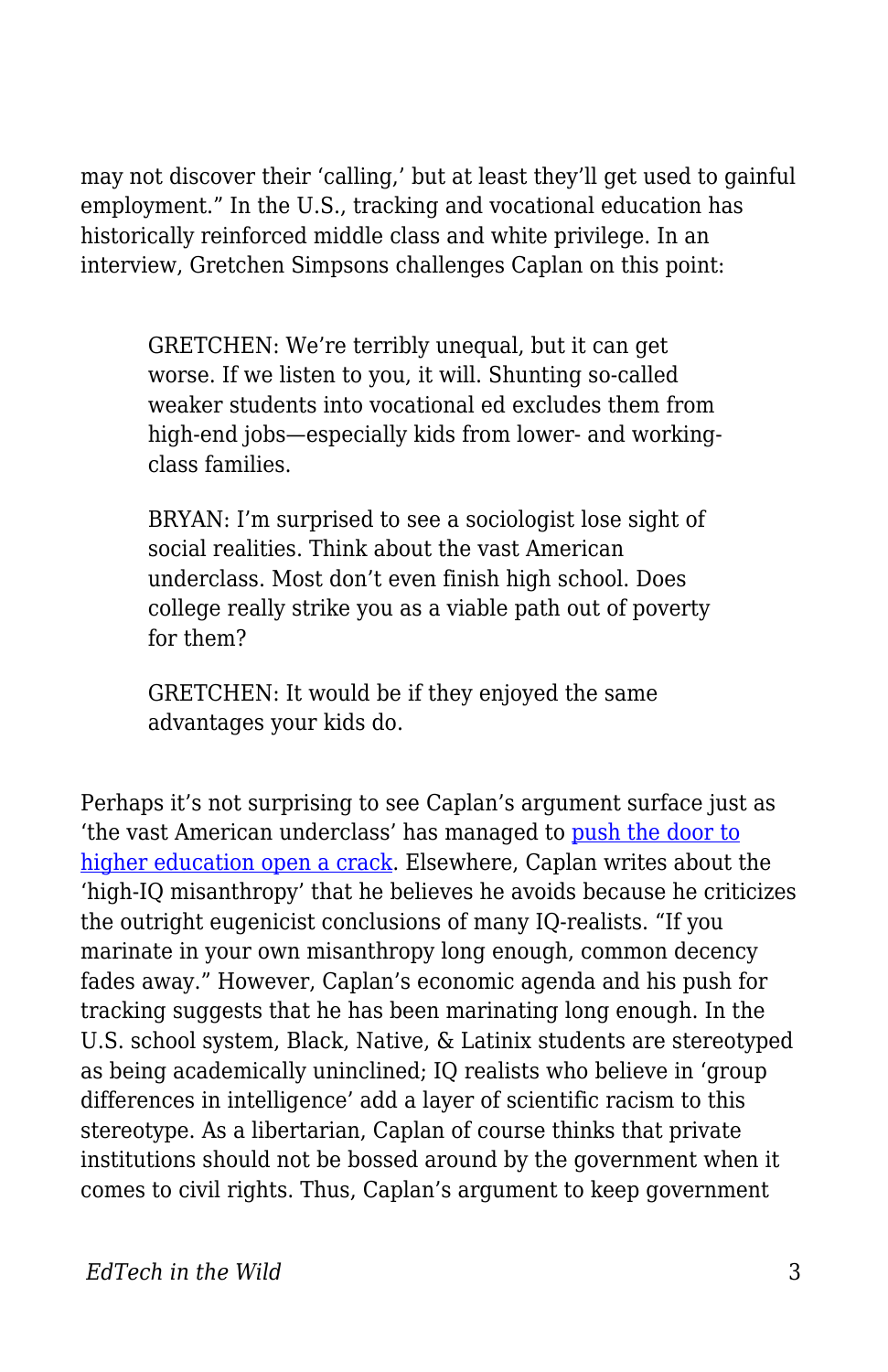may not discover their 'calling,' but at least they'll get used to gainful employment." In the U.S., tracking and vocational education has historically reinforced middle class and white privilege. In an interview, Gretchen Simpsons challenges Caplan on this point:

GRETCHEN: We're terribly unequal, but it can get worse. If we listen to you, it will. Shunting so-called weaker students into vocational ed excludes them from high-end jobs—especially kids from lower- and workingclass families.

BRYAN: I'm surprised to see a sociologist lose sight of social realities. Think about the vast American underclass. Most don't even finish high school. Does college really strike you as a viable path out of poverty for them?

GRETCHEN: It would be if they enjoyed the same advantages your kids do.

Perhaps it's not surprising to see Caplan's argument surface just as 'the vast American underclass' has managed to [push the door to](https://www.americanprogress.org/issues/education-postsecondary/reports/2016/10/13/145098/closed-doors-black-and-latino-students-are-excluded-from-top-public-universities/) [higher education open a crack](https://www.americanprogress.org/issues/education-postsecondary/reports/2016/10/13/145098/closed-doors-black-and-latino-students-are-excluded-from-top-public-universities/). Elsewhere, Caplan writes about the 'high-IQ misanthropy' that he believes he avoids because he criticizes the outright eugenicist conclusions of many IQ-realists. "If you marinate in your own misanthropy long enough, common decency fades away." However, Caplan's economic agenda and his push for tracking suggests that he has been marinating long enough. In the U.S. school system, Black, Native, & Latinix students are stereotyped as being academically uninclined; IQ realists who believe in 'group differences in intelligence' add a layer of scientific racism to this stereotype. As a libertarian, Caplan of course thinks that private institutions should not be bossed around by the government when it comes to civil rights. Thus, Caplan's argument to keep government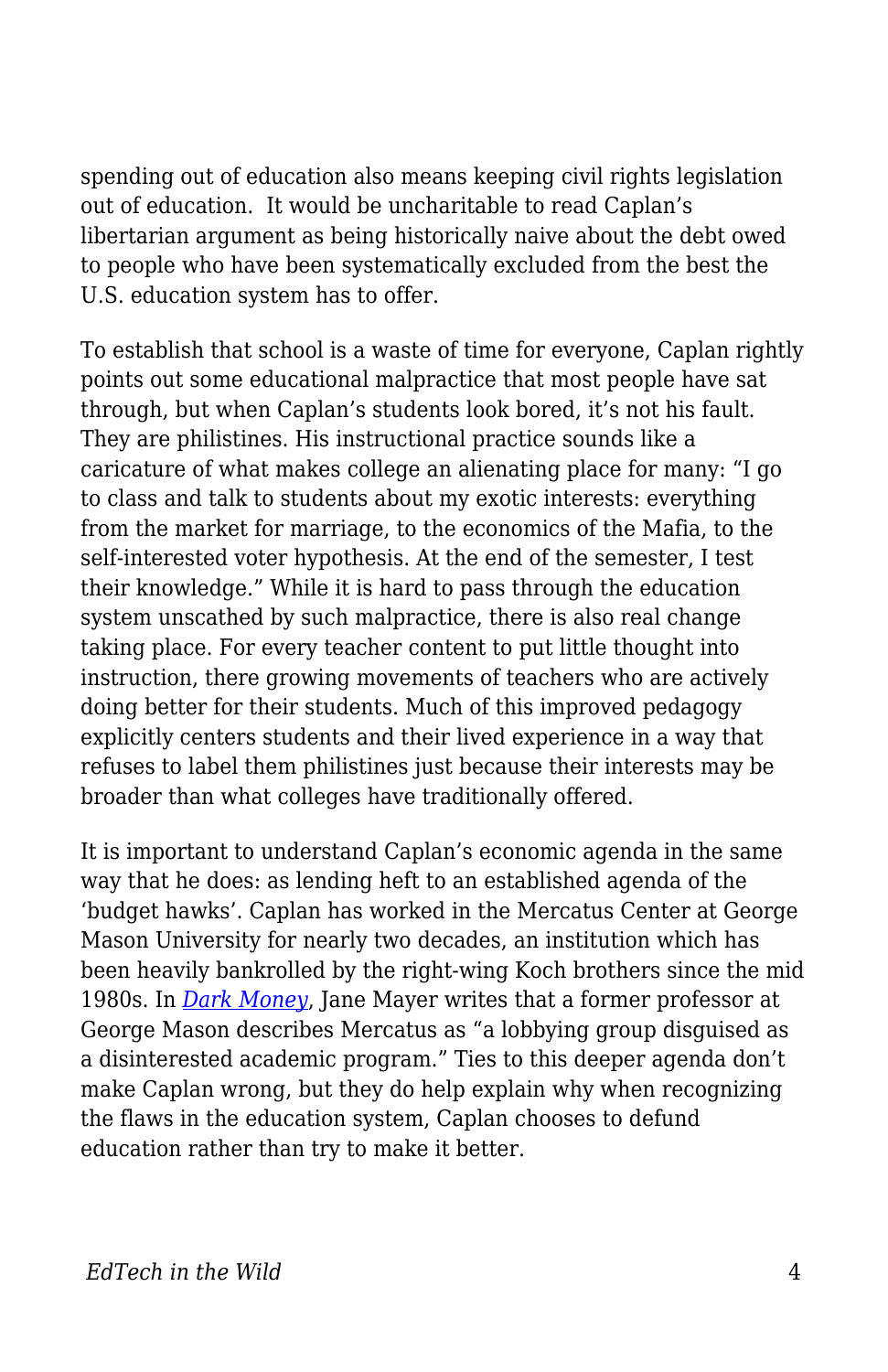spending out of education also means keeping civil rights legislation out of education. It would be uncharitable to read Caplan's libertarian argument as being historically naive about the debt owed to people who have been systematically excluded from the best the U.S. education system has to offer.

To establish that school is a waste of time for everyone, Caplan rightly points out some educational malpractice that most people have sat through, but when Caplan's students look bored, it's not his fault. They are philistines. His instructional practice sounds like a caricature of what makes college an alienating place for many: "I go to class and talk to students about my exotic interests: everything from the market for marriage, to the economics of the Mafia, to the self-interested voter hypothesis. At the end of the semester, I test their knowledge." While it is hard to pass through the education system unscathed by such malpractice, there is also real change taking place. For every teacher content to put little thought into instruction, there growing movements of teachers who are actively doing better for their students. Much of this improved pedagogy explicitly centers students and their lived experience in a way that refuses to label them philistines just because their interests may be broader than what colleges have traditionally offered.

It is important to understand Caplan's economic agenda in the same way that he does: as lending heft to an established agenda of the 'budget hawks'. Caplan has worked in the Mercatus Center at George Mason University for nearly two decades, an institution which has been heavily bankrolled by the right-wing Koch brothers since the mid 1980s. In *[Dark Money](https://www.penguinrandomhouse.com/books/215462/dark-money-by-jane-mayer/9780307947901/)*, Jane Mayer writes that a former professor at George Mason describes Mercatus as "a lobbying group disguised as a disinterested academic program." Ties to this deeper agenda don't make Caplan wrong, but they do help explain why when recognizing the flaws in the education system, Caplan chooses to defund education rather than try to make it better.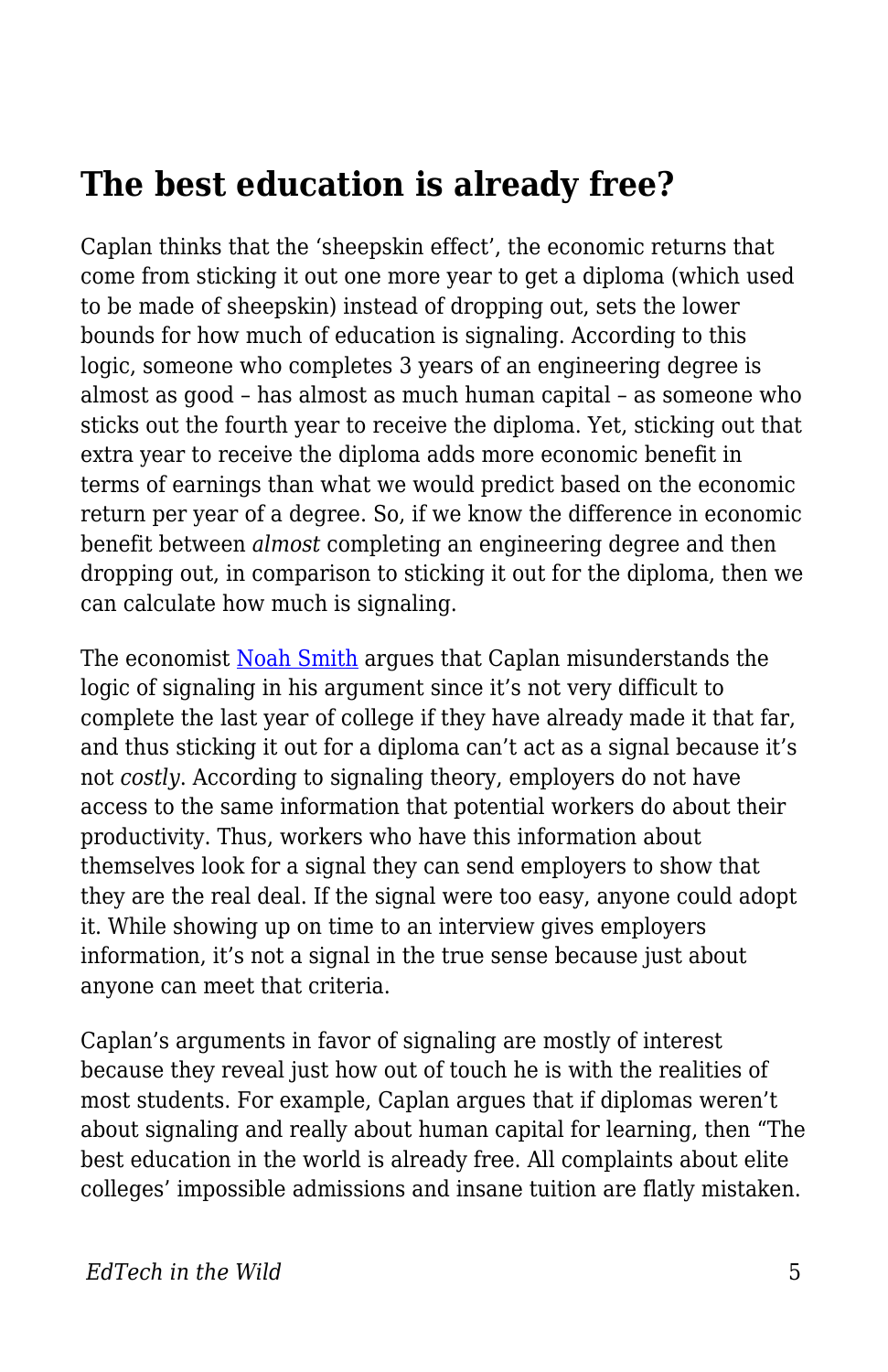## **The best education is already free?**

Caplan thinks that the 'sheepskin effect', the economic returns that come from sticking it out one more year to get a diploma (which used to be made of sheepskin) instead of dropping out, sets the lower bounds for how much of education is signaling. According to this logic, someone who completes 3 years of an engineering degree is almost as good – has almost as much human capital – as someone who sticks out the fourth year to receive the diploma. Yet, sticking out that extra year to receive the diploma adds more economic benefit in terms of earnings than what we would predict based on the economic return per year of a degree. So, if we know the difference in economic benefit between *almost* completing an engineering degree and then dropping out, in comparison to sticking it out for the diploma, then we can calculate how much is signaling.

The economist [Noah Smith](https://noahpinionblog.blogspot.com/2017/12/sheepskin-effects-signals-without.html) argues that Caplan misunderstands the logic of signaling in his argument since it's not very difficult to complete the last year of college if they have already made it that far, and thus sticking it out for a diploma can't act as a signal because it's not *costly*. According to signaling theory, employers do not have access to the same information that potential workers do about their productivity. Thus, workers who have this information about themselves look for a signal they can send employers to show that they are the real deal. If the signal were too easy, anyone could adopt it. While showing up on time to an interview gives employers information, it's not a signal in the true sense because just about anyone can meet that criteria.

Caplan's arguments in favor of signaling are mostly of interest because they reveal just how out of touch he is with the realities of most students. For example, Caplan argues that if diplomas weren't about signaling and really about human capital for learning, then "The best education in the world is already free. All complaints about elite colleges' impossible admissions and insane tuition are flatly mistaken.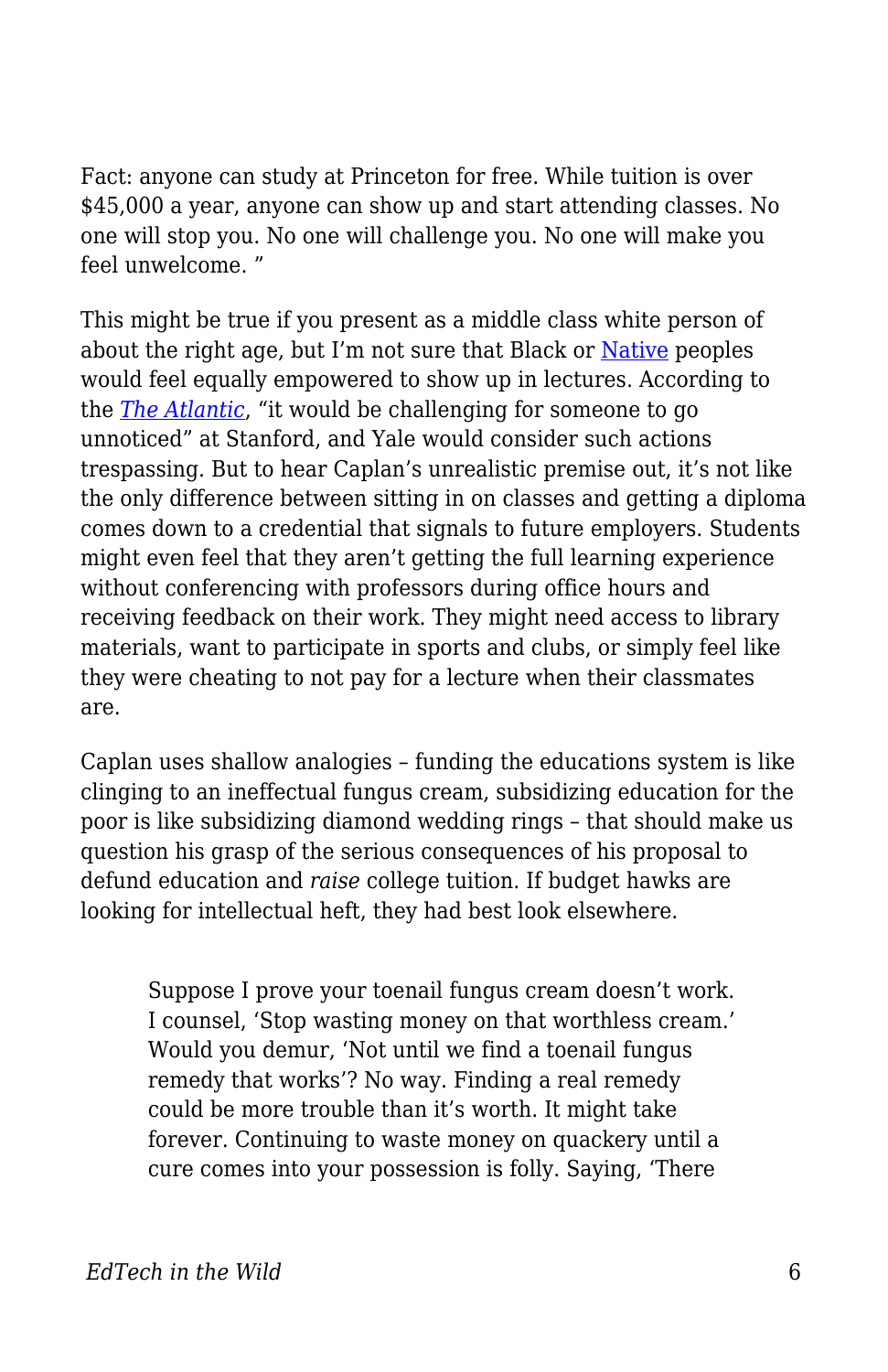Fact: anyone can study at Princeton for free. While tuition is over \$45,000 a year, anyone can show up and start attending classes. No one will stop you. No one will challenge you. No one will make you feel unwelcome. "

This might be true if you present as a middle class white person of about the right age, but I'm not sure that Black or [Native](https://eu.usatoday.com/story/news/nation-now/2018/05/04/body-cam-campus-police-question-2-native-americans/582729002/) peoples would feel equally empowered to show up in lectures. According to the *[The Atlantic](https://www.theatlantic.com/business/archive/2015/03/the-man-who-snuck-into-the-ivy-league-without-paying-a-thing/386917/)*, "it would be challenging for someone to go unnoticed" at Stanford, and Yale would consider such actions trespassing. But to hear Caplan's unrealistic premise out, it's not like the only difference between sitting in on classes and getting a diploma comes down to a credential that signals to future employers. Students might even feel that they aren't getting the full learning experience without conferencing with professors during office hours and receiving feedback on their work. They might need access to library materials, want to participate in sports and clubs, or simply feel like they were cheating to not pay for a lecture when their classmates are.

Caplan uses shallow analogies – funding the educations system is like clinging to an ineffectual fungus cream, subsidizing education for the poor is like subsidizing diamond wedding rings – that should make us question his grasp of the serious consequences of his proposal to defund education and *raise* college tuition. If budget hawks are looking for intellectual heft, they had best look elsewhere.

Suppose I prove your toenail fungus cream doesn't work. I counsel, 'Stop wasting money on that worthless cream.' Would you demur, 'Not until we find a toenail fungus remedy that works'? No way. Finding a real remedy could be more trouble than it's worth. It might take forever. Continuing to waste money on quackery until a cure comes into your possession is folly. Saying, 'There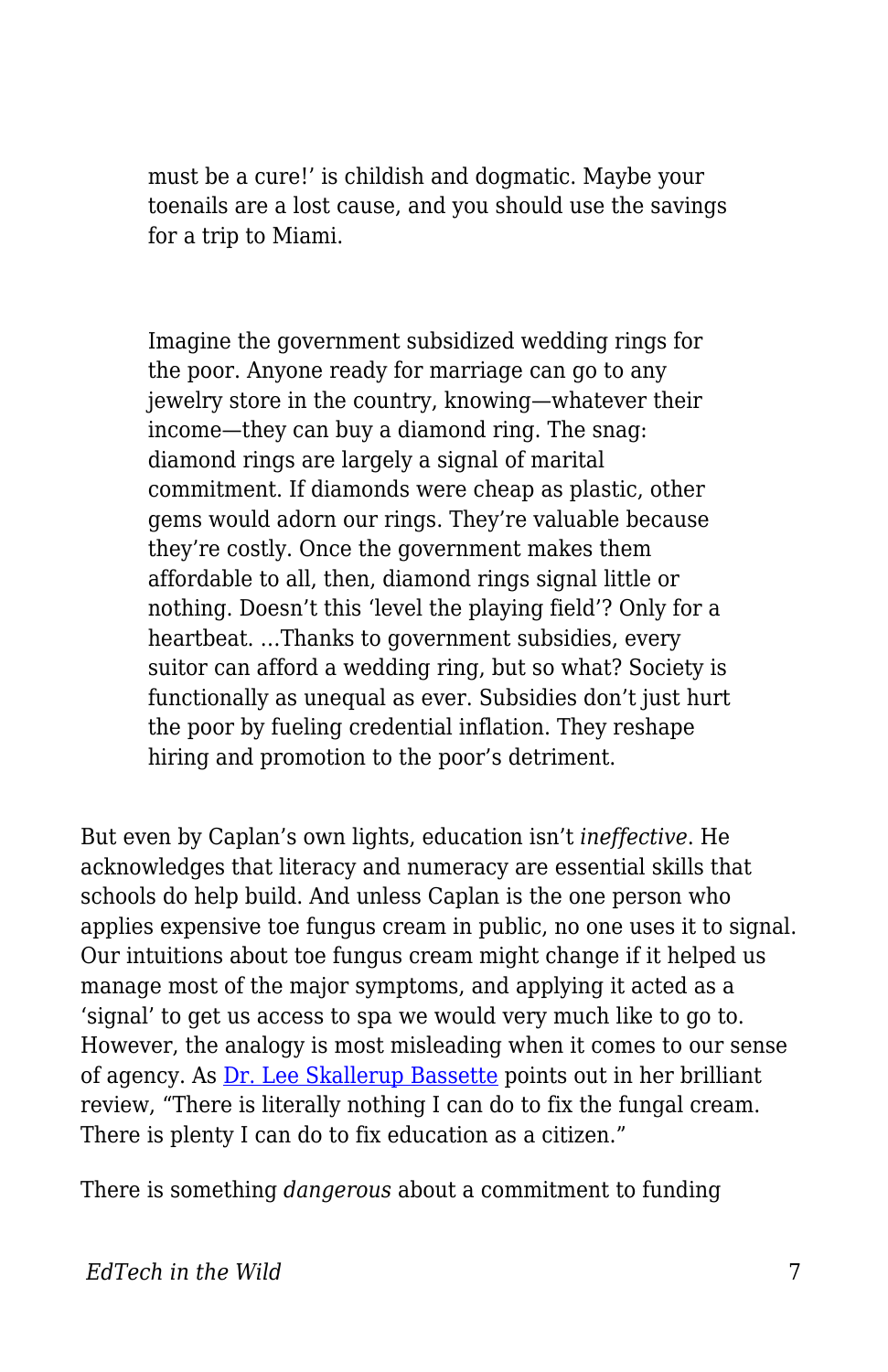must be a cure!' is childish and dogmatic. Maybe your toenails are a lost cause, and you should use the savings for a trip to Miami.

Imagine the government subsidized wedding rings for the poor. Anyone ready for marriage can go to any jewelry store in the country, knowing—whatever their income—they can buy a diamond ring. The snag: diamond rings are largely a signal of marital commitment. If diamonds were cheap as plastic, other gems would adorn our rings. They're valuable because they're costly. Once the government makes them affordable to all, then, diamond rings signal little or nothing. Doesn't this 'level the playing field'? Only for a heartbeat. …Thanks to government subsidies, every suitor can afford a wedding ring, but so what? Society is functionally as unequal as ever. Subsidies don't just hurt the poor by fueling credential inflation. They reshape hiring and promotion to the poor's detriment.

But even by Caplan's own lights, education isn't *ineffective*. He acknowledges that literacy and numeracy are essential skills that schools do help build. And unless Caplan is the one person who applies expensive toe fungus cream in public, no one uses it to signal. Our intuitions about toe fungus cream might change if it helped us manage most of the major symptoms, and applying it acted as a 'signal' to get us access to spa we would very much like to go to. However, the analogy is most misleading when it comes to our sense of agency. As **[Dr. Lee Skallerup Bassette](http://diverseeducation.com/article/113230/)** points out in her brilliant review, "There is literally nothing I can do to fix the fungal cream. There is plenty I can do to fix education as a citizen."

There is something *dangerous* about a commitment to funding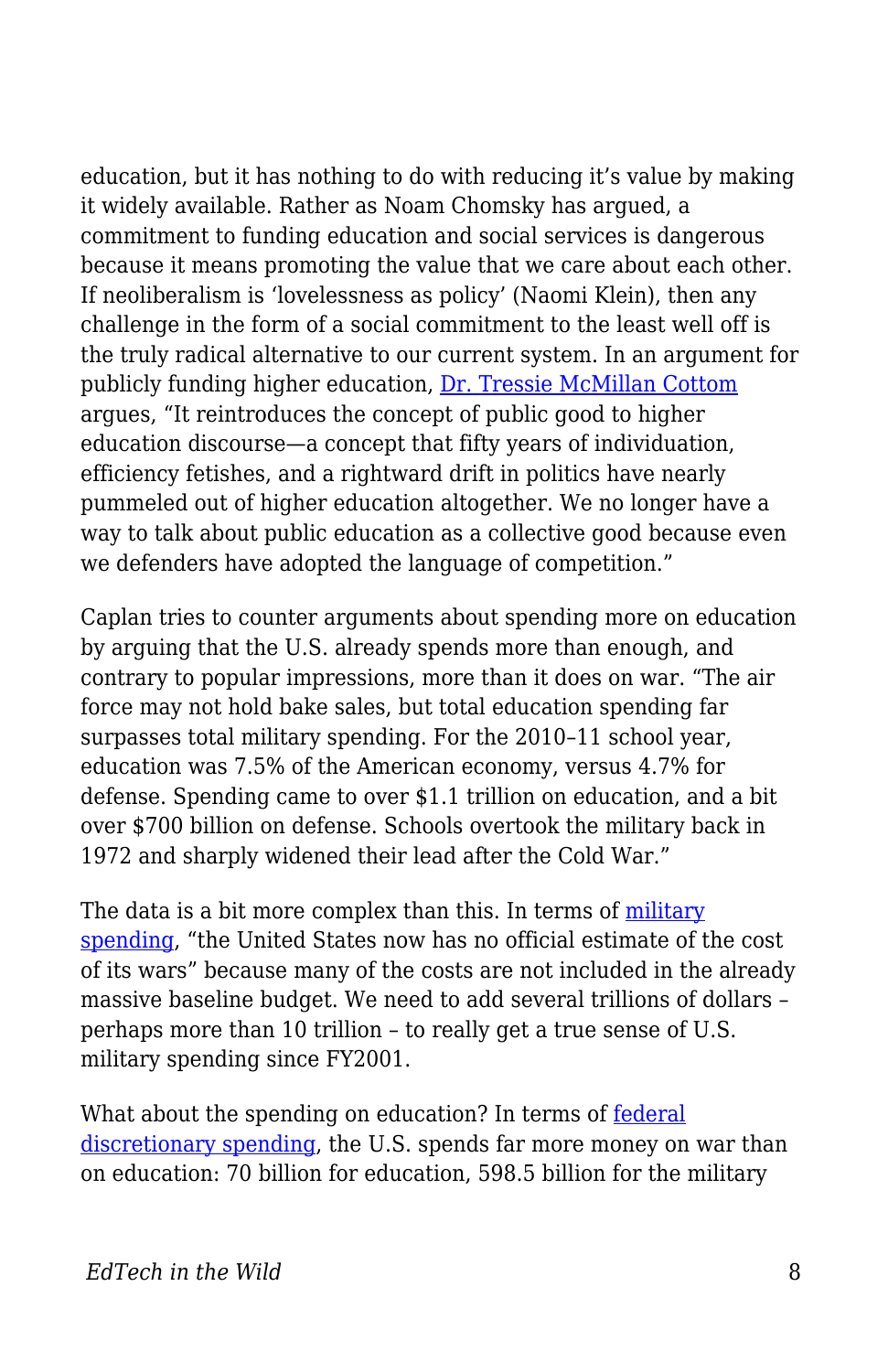education, but it has nothing to do with reducing it's value by making it widely available. Rather as Noam Chomsky has argued, a commitment to funding education and social services is dangerous because it means promoting the value that we care about each other. If neoliberalism is 'lovelessness as policy' (Naomi Klein), then any challenge in the form of a social commitment to the least well off is the truly radical alternative to our current system. In an argument for publicly funding higher education, [Dr. Tressie McMillan Cottom](https://www.dissentmagazine.org/article/tressie-mcmillan-cottom-why-free-college-necessary) argues, "It reintroduces the concept of public good to higher education discourse—a concept that fifty years of individuation, efficiency fetishes, and a rightward drift in politics have nearly pummeled out of higher education altogether. We no longer have a way to talk about public education as a collective good because even we defenders have adopted the language of competition."

Caplan tries to counter arguments about spending more on education by arguing that the U.S. already spends more than enough, and contrary to popular impressions, more than it does on war. "The air force may not hold bake sales, but total education spending far surpasses total military spending. For the 2010–11 school year, education was 7.5% of the American economy, versus 4.7% for defense. Spending came to over \$1.1 trillion on education, and a bit over \$700 billion on defense. Schools overtook the military back in 1972 and sharply widened their lead after the Cold War."

The data is a bit more complex than this. In terms of [military](https://www.csis.org/analysis/us-military-spending-cost-wars) [spending,](https://www.csis.org/analysis/us-military-spending-cost-wars) "the United States now has no official estimate of the cost of its wars" because many of the costs are not included in the already massive baseline budget. We need to add several trillions of dollars – perhaps more than 10 trillion – to really get a true sense of U.S. military spending since FY2001.

What about the spending on education? In terms of [federal](https://www.nationalpriorities.org/campaigns/military-spending-united-states/) [discretionary spending,](https://www.nationalpriorities.org/campaigns/military-spending-united-states/) the U.S. spends far more money on war than on education: 70 billion for education, 598.5 billion for the military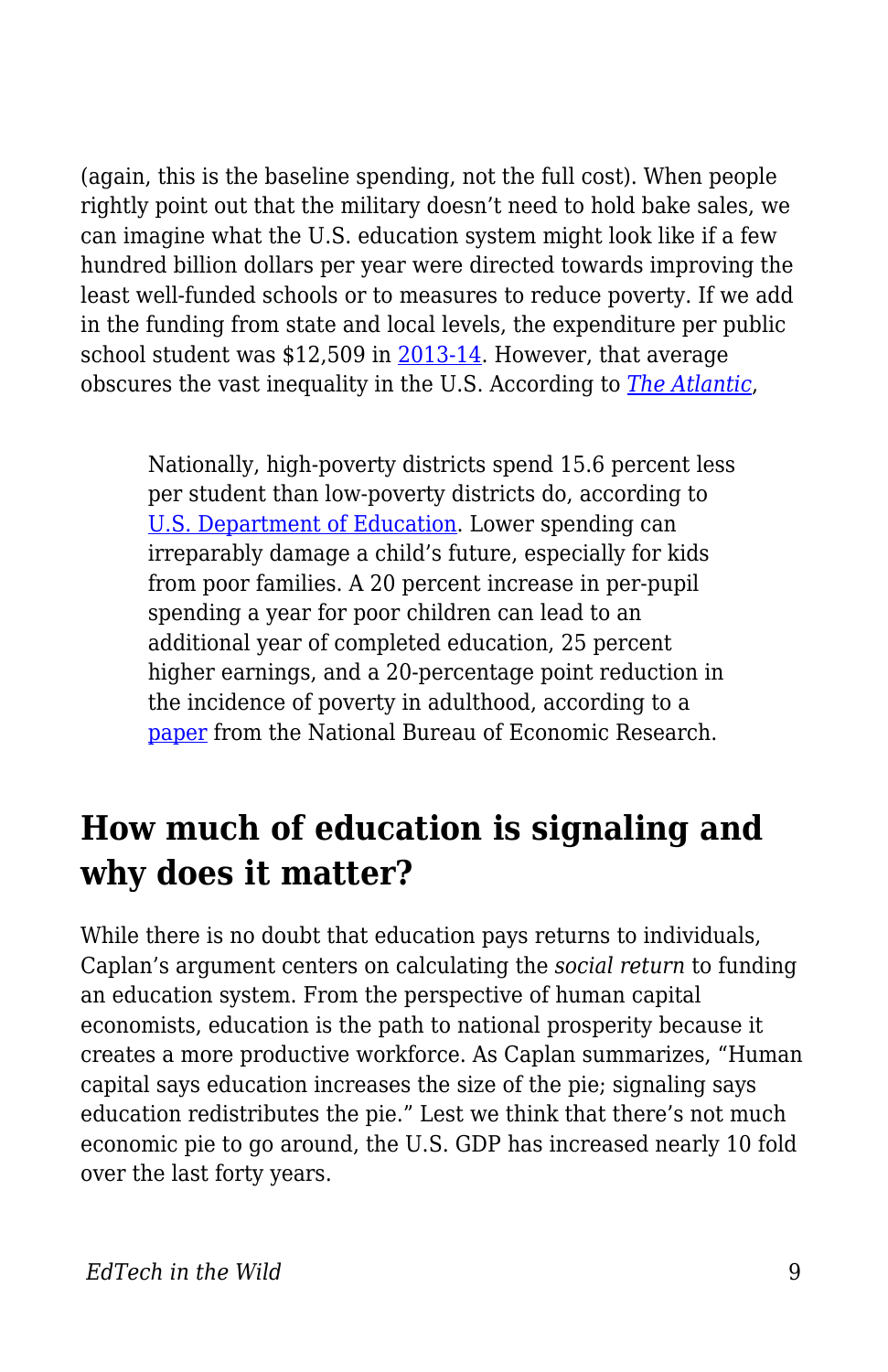(again, this is the baseline spending, not the full cost). When people rightly point out that the military doesn't need to hold bake sales, we can imagine what the U.S. education system might look like if a few hundred billion dollars per year were directed towards improving the least well-funded schools or to measures to reduce poverty. If we add in the funding from state and local levels, the expenditure per public school student was \$12,509 in [2013-14.](https://nces.ed.gov/fastfacts/display.asp?id=66) However, that average obscures the vast inequality in the U.S. According to *[The Atlantic](https://www.theatlantic.com/business/archive/2016/08/property-taxes-and-unequal-schools/497333/)*,

Nationally, high-poverty districts spend 15.6 percent less per student than low-poverty districts do, according to [U.S. Department of Education.](http://www.ed.gov/news/media-advisories/secretary-duncan-urban-league-president-morial-spotlight-states-where-education-funding-shortchanges-low-income-minority-students) Lower spending can irreparably damage a child's future, especially for kids from poor families. A 20 percent increase in per-pupil spending a year for poor children can lead to an additional year of completed education, 25 percent higher earnings, and a 20-percentage point reduction in the incidence of poverty in adulthood, according to a [paper](http://www.nber.org/papers/w20847) from the National Bureau of Economic Research.

#### **How much of education is signaling and why does it matter?**

While there is no doubt that education pays returns to individuals, Caplan's argument centers on calculating the *social return* to funding an education system. From the perspective of human capital economists, education is the path to national prosperity because it creates a more productive workforce. As Caplan summarizes, "Human capital says education increases the size of the pie; signaling says education redistributes the pie." Lest we think that there's not much economic pie to go around, the U.S. GDP has increased nearly 10 fold over the last forty years.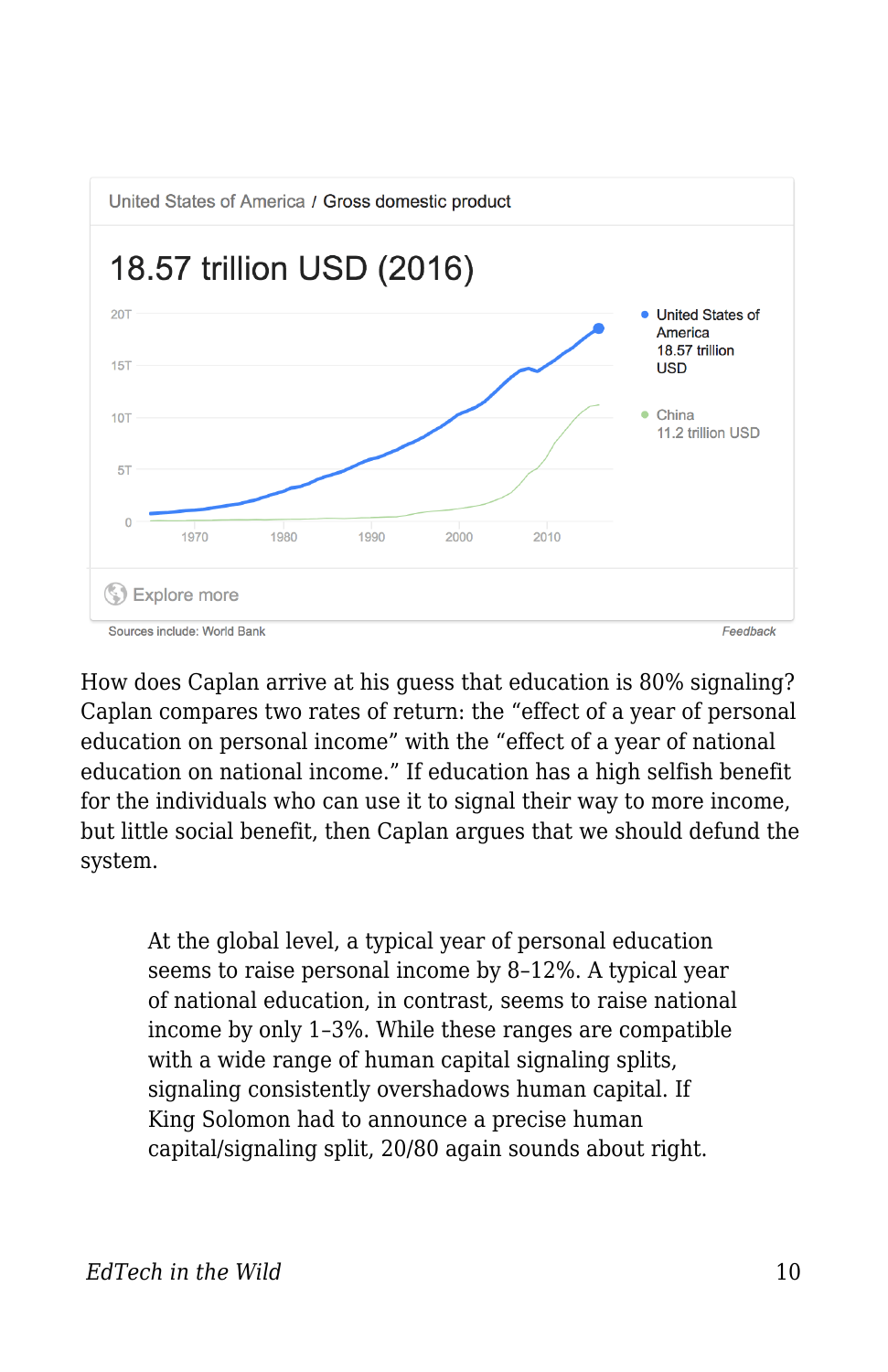

How does Caplan arrive at his guess that education is 80% signaling? Caplan compares two rates of return: the "effect of a year of personal education on personal income" with the "effect of a year of national education on national income." If education has a high selfish benefit for the individuals who can use it to signal their way to more income, but little social benefit, then Caplan argues that we should defund the system.

At the global level, a typical year of personal education seems to raise personal income by 8–12%. A typical year of national education, in contrast, seems to raise national income by only 1–3%. While these ranges are compatible with a wide range of human capital signaling splits, signaling consistently overshadows human capital. If King Solomon had to announce a precise human capital/signaling split, 20/80 again sounds about right.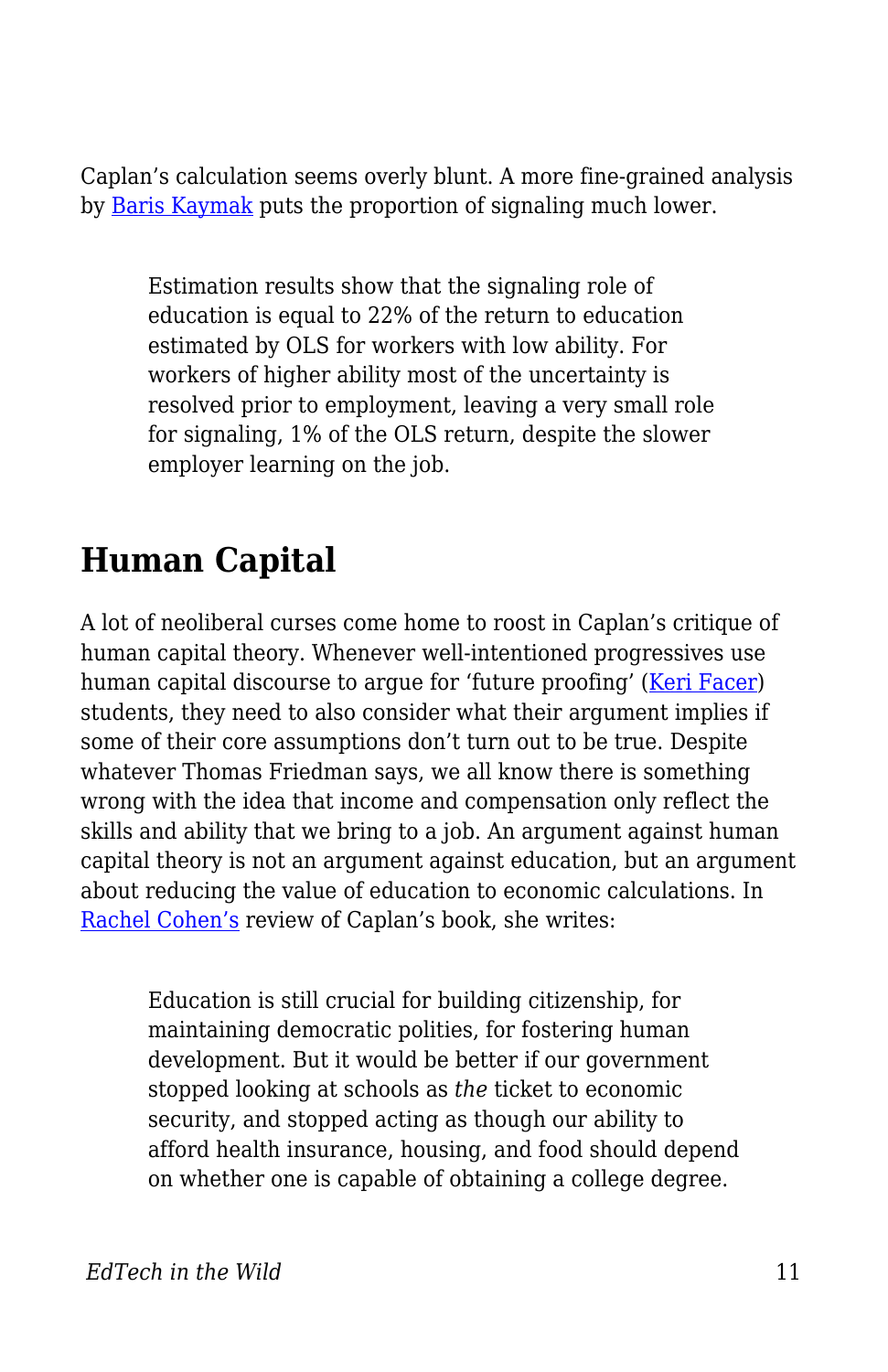Caplan's calculation seems overly blunt. A more fine-grained analysis by [Baris Kaymak](http://www.sole-jole.org/12497.pdf) puts the proportion of signaling much lower.

Estimation results show that the signaling role of education is equal to 22% of the return to education estimated by OLS for workers with low ability. For workers of higher ability most of the uncertainty is resolved prior to employment, leaving a very small role for signaling, 1% of the OLS return, despite the slower employer learning on the job.

## **Human Capital**

A lot of neoliberal curses come home to roost in Caplan's critique of human capital theory. Whenever well-intentioned progressives use human capital discourse to argue for 'future proofing' [\(Keri Facer\)](https://www.amazon.ca/Learning-Futures-Education-Technology-Social/dp/0415581435) students, they need to also consider what their argument implies if some of their core assumptions don't turn out to be true. Despite whatever Thomas Friedman says, we all know there is something wrong with the idea that income and compensation only reflect the skills and ability that we bring to a job. An argument against human capital theory is not an argument against education, but an argument about reducing the value of education to economic calculations. In [Rachel Cohen's](https://democracyjournal.org/magazine/49/is-school-a-waste-of-time/) review of Caplan's book, she writes:

Education is still crucial for building citizenship, for maintaining democratic polities, for fostering human development. But it would be better if our government stopped looking at schools as *the* ticket to economic security, and stopped acting as though our ability to afford health insurance, housing, and food should depend on whether one is capable of obtaining a college degree.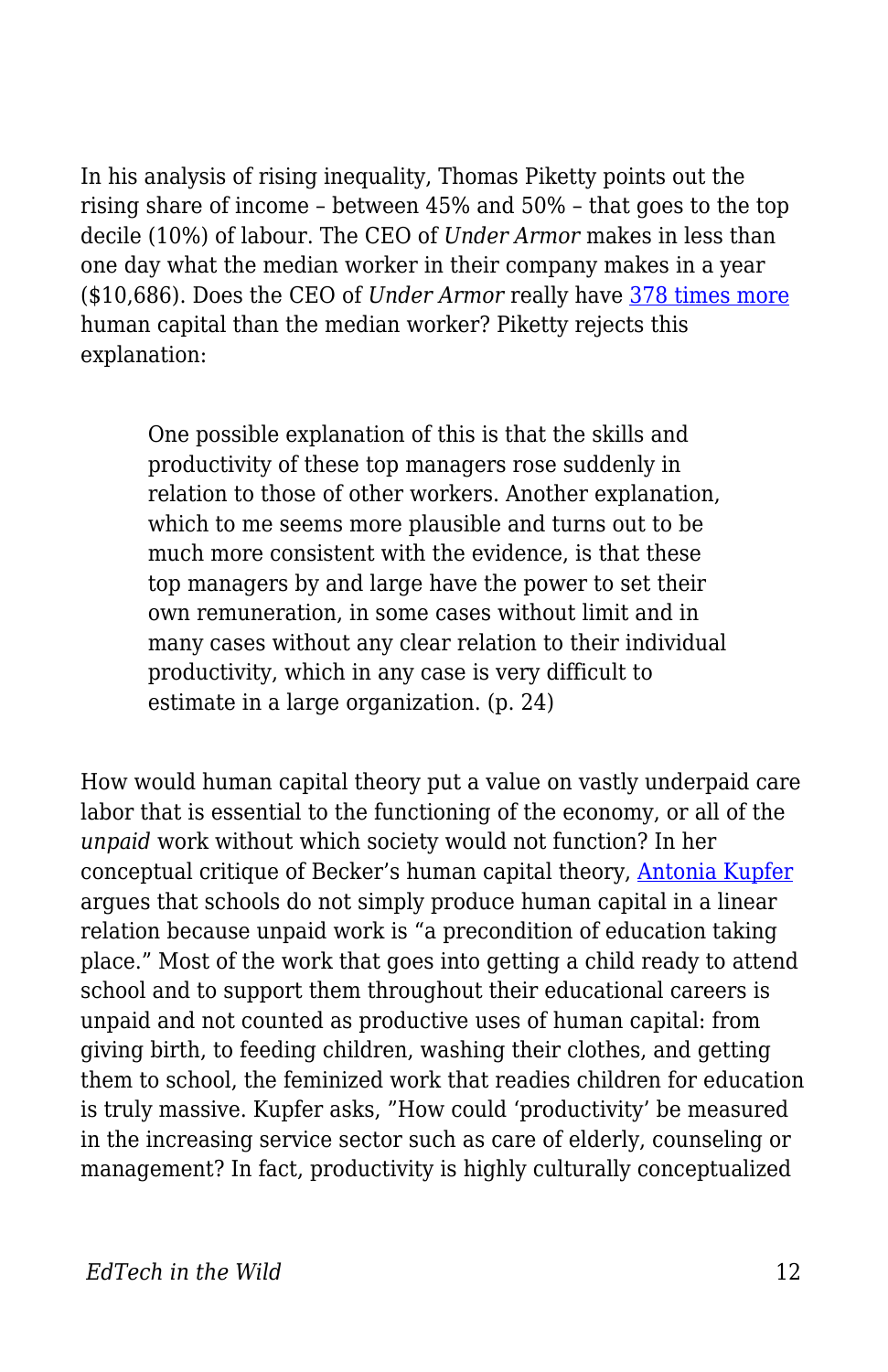In his analysis of rising inequality, Thomas Piketty points out the rising share of income – between 45% and 50% – that goes to the top decile (10%) of labour. The CEO of *Under Armor* makes in less than one day what the median worker in their company makes in a year (\$10,686). Does the CEO of *Under Armor* really have [378 times more](https://inequality.org/great-divide/how-to-track-ceo-worker-pay-ratios/) human capital than the median worker? Piketty rejects this explanation:

One possible explanation of this is that the skills and productivity of these top managers rose suddenly in relation to those of other workers. Another explanation, which to me seems more plausible and turns out to be much more consistent with the evidence, is that these top managers by and large have the power to set their own remuneration, in some cases without limit and in many cases without any clear relation to their individual productivity, which in any case is very difficult to estimate in a large organization. (p. 24)

How would human capital theory put a value on vastly underpaid care labor that is essential to the functioning of the economy, or all of the *unpaid* work without which society would not function? In her conceptual critique of Becker's human capital theory, [Antonia Kupfer](http://eprints.soton.ac.uk/364596/1/Kupfer%202014%20Interrelation%20of%20twenty-first%20century%20education%20and%20work.pdf) argues that schools do not simply produce human capital in a linear relation because unpaid work is "a precondition of education taking place." Most of the work that goes into getting a child ready to attend school and to support them throughout their educational careers is unpaid and not counted as productive uses of human capital: from giving birth, to feeding children, washing their clothes, and getting them to school, the feminized work that readies children for education is truly massive. Kupfer asks, "How could 'productivity' be measured in the increasing service sector such as care of elderly, counseling or management? In fact, productivity is highly culturally conceptualized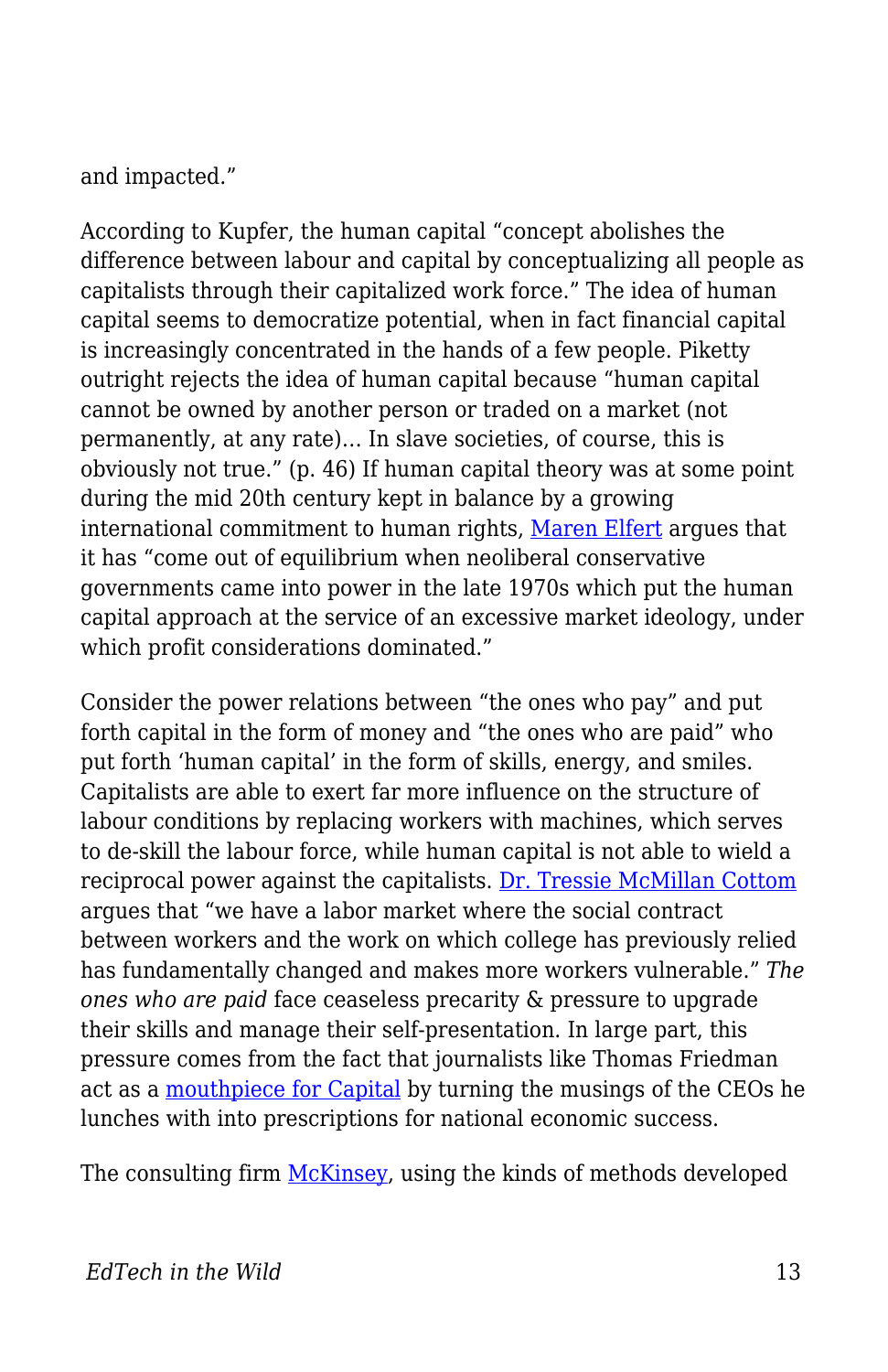and impacted."

According to Kupfer, the human capital "concept abolishes the difference between labour and capital by conceptualizing all people as capitalists through their capitalized work force." The idea of human capital seems to democratize potential, when in fact financial capital is increasingly concentrated in the hands of a few people. Piketty outright rejects the idea of human capital because "human capital cannot be owned by another person or traded on a market (not permanently, at any rate)… In slave societies, of course, this is obviously not true." (p. 46) If human capital theory was at some point during the mid 20th century kept in balance by a growing international commitment to human rights, [Maren Elfert](https://www.amazon.com/UNESCOs-Utopia-Lifelong-Learning-Intellectual/dp/1138242527) argues that it has "come out of equilibrium when neoliberal conservative governments came into power in the late 1970s which put the human capital approach at the service of an excessive market ideology, under which profit considerations dominated."

Consider the power relations between "the ones who pay" and put forth capital in the form of money and "the ones who are paid" who put forth 'human capital' in the form of skills, energy, and smiles. Capitalists are able to exert far more influence on the structure of labour conditions by replacing workers with machines, which serves to de-skill the labour force, while human capital is not able to wield a reciprocal power against the capitalists. [Dr. Tressie McMillan Cottom](https://www.amazon.ca/Lower-Ed-Troubling-Profit-Colleges/dp/162097438X/ref=sr_1_fkmr0_1?s=books&ie=UTF8&qid=1530311976&sr=1-1-fkmr0&keywords=cotton+tressie) argues that "we have a labor market where the social contract between workers and the work on which college has previously relied has fundamentally changed and makes more workers vulnerable." *The ones who are paid* face ceaseless precarity & pressure to upgrade their skills and manage their self-presentation. In large part, this pressure comes from the fact that journalists like Thomas Friedman act as a [mouthpiece for Capital](https://www.versobooks.com/books/1024-the-imperial-messenger) by turning the musings of the CEOs he lunches with into prescriptions for national economic success.

The consulting firm [McKinsey](http://dropoutprevention.org/wp-content/uploads/2015/07/ACHIEVEMENT_GAP_REPORT_20090512.pdf), using the kinds of methods developed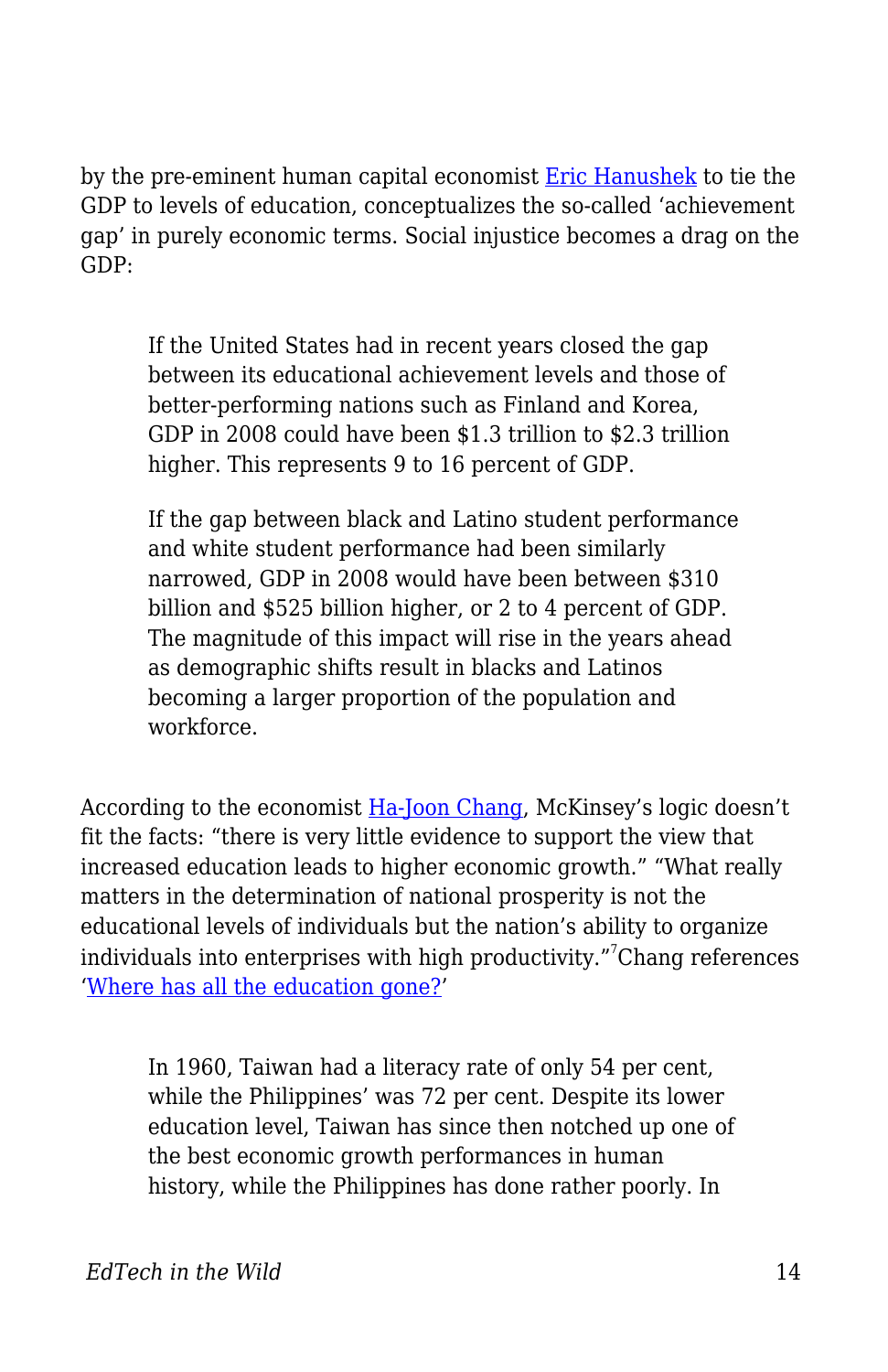by the pre-eminent human capital economist [Eric Hanushek](http://hanushek.stanford.edu/publications/higher-grades-higher-gdp) to tie the GDP to levels of education, conceptualizes the so-called 'achievement gap' in purely economic terms. Social injustice becomes a drag on the GDP:

If the United States had in recent years closed the gap between its educational achievement levels and those of better-performing nations such as Finland and Korea, GDP in 2008 could have been \$1.3 trillion to \$2.3 trillion higher. This represents 9 to 16 percent of GDP.

If the gap between black and Latino student performance and white student performance had been similarly narrowed, GDP in 2008 would have been between \$310 billion and \$525 billion higher, or 2 to 4 percent of GDP. The magnitude of this impact will rise in the years ahead as demographic shifts result in blacks and Latinos becoming a larger proportion of the population and workforce.

According to the economist [Ha-Joon Chang](https://www.amazon.ca/Things-They-Dont-About-Capitalism/dp/1608193381), McKinsey's logic doesn't fit the facts: "there is very little evidence to support the view that increased education leads to higher economic growth." "What really matters in the determination of national prosperity is not the educational levels of individuals but the nation's ability to organize individuals into enterprises with high productivity."<sup>7</sup>Chang references '[Where has all the education gone?'](https://sites.hks.harvard.edu/fs/lpritch/Education%20-%20docs/ED%20-%20Econ%20Growth,%20impact/where%20has%20all%20the%20education%20gone.pdf)

In 1960, Taiwan had a literacy rate of only 54 per cent, while the Philippines' was 72 per cent. Despite its lower education level, Taiwan has since then notched up one of the best economic growth performances in human history, while the Philippines has done rather poorly. In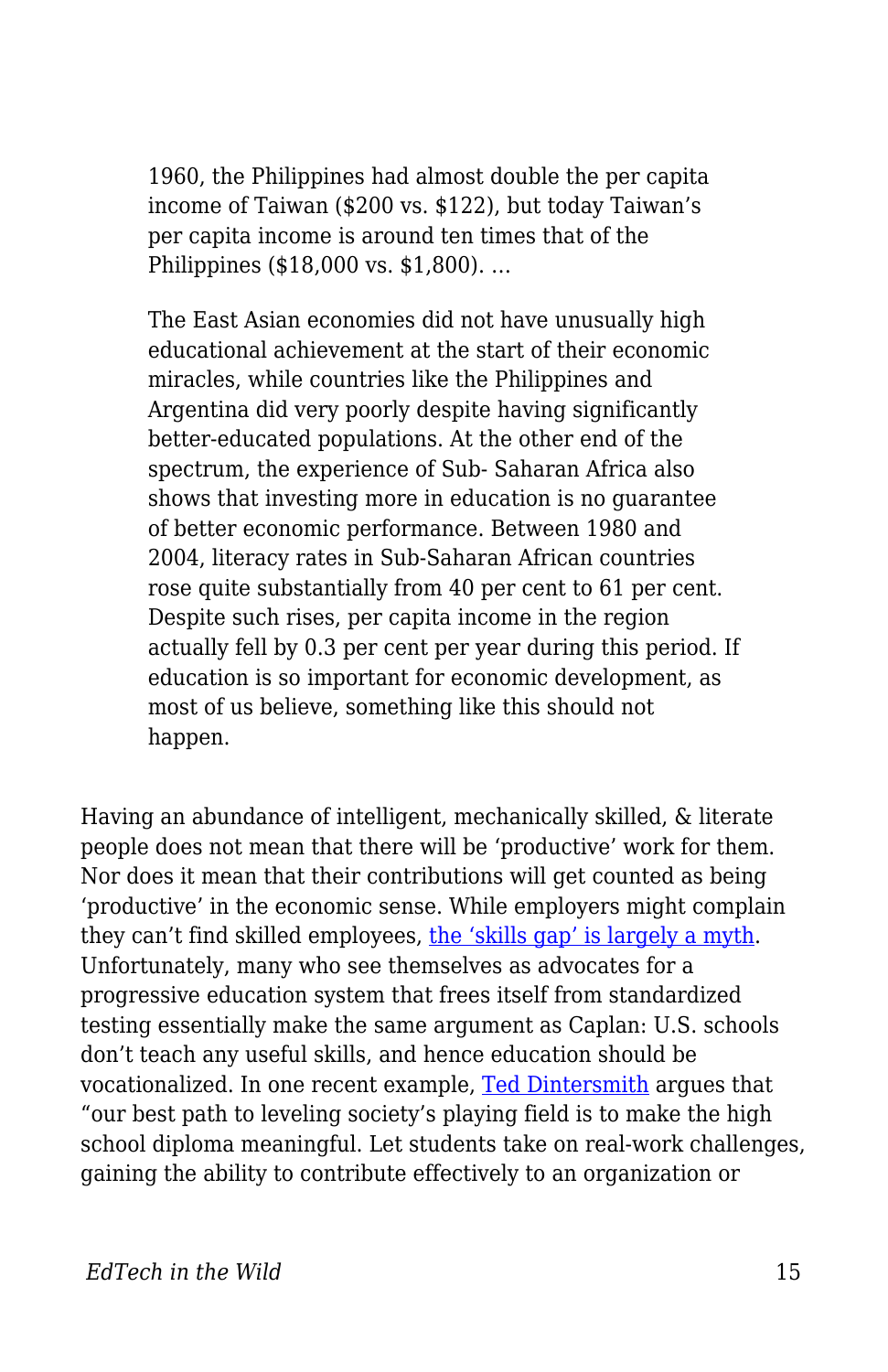1960, the Philippines had almost double the per capita income of Taiwan (\$200 vs. \$122), but today Taiwan's per capita income is around ten times that of the Philippines (\$18,000 vs. \$1,800). …

The East Asian economies did not have unusually high educational achievement at the start of their economic miracles, while countries like the Philippines and Argentina did very poorly despite having significantly better-educated populations. At the other end of the spectrum, the experience of Sub- Saharan Africa also shows that investing more in education is no guarantee of better economic performance. Between 1980 and 2004, literacy rates in Sub-Saharan African countries rose quite substantially from 40 per cent to 61 per cent. Despite such rises, per capita income in the region actually fell by 0.3 per cent per year during this period. If education is so important for economic development, as most of us believe, something like this should not happen.

Having an abundance of intelligent, mechanically skilled, & literate people does not mean that there will be 'productive' work for them. Nor does it mean that their contributions will get counted as being 'productive' in the economic sense. While employers might complain they can't find skilled employees, [the 'skills gap' is largely a myth.](https://www.longviewoneducation.org/political-economy-skills-gap/) Unfortunately, many who see themselves as advocates for a progressive education system that frees itself from standardized testing essentially make the same argument as Caplan: U.S. schools don't teach any useful skills, and hence education should be vocationalized. In one recent example, [Ted Dintersmith](https://press.princeton.edu/titles/11224.html) argues that "our best path to leveling society's playing field is to make the high school diploma meaningful. Let students take on real-work challenges, gaining the ability to contribute effectively to an organization or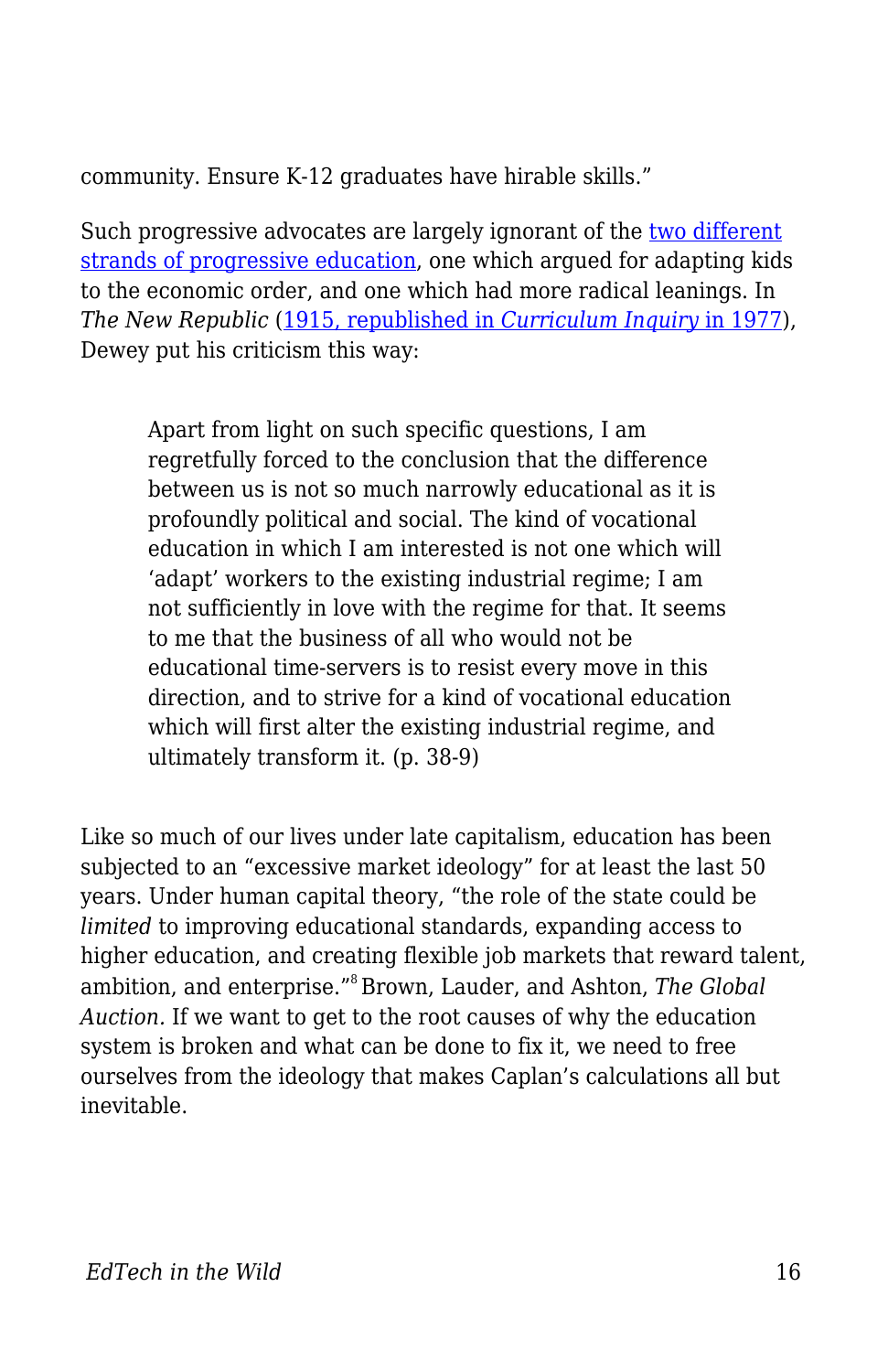community. Ensure K-12 graduates have hirable skills."

Such progressive advocates are largely ignorant of the [two different](https://www.longviewoneducation.org/are-we-robbing-students-of-tomorrow/) [strands of progressive education,](https://www.longviewoneducation.org/are-we-robbing-students-of-tomorrow/) one which argued for adapting kids to the economic order, and one which had more radical leanings. In *The New Republic* [\(1915, republished in](http://www.jstor.org/stable/1179397) *[Curriculum Inquiry](http://www.jstor.org/stable/1179397)* [in 1977](http://www.jstor.org/stable/1179397)), Dewey put his criticism this way:

Apart from light on such specific questions, I am regretfully forced to the conclusion that the difference between us is not so much narrowly educational as it is profoundly political and social. The kind of vocational education in which I am interested is not one which will 'adapt' workers to the existing industrial regime; I am not sufficiently in love with the regime for that. It seems to me that the business of all who would not be educational time-servers is to resist every move in this direction, and to strive for a kind of vocational education which will first alter the existing industrial regime, and ultimately transform it. (p. 38-9)

Like so much of our lives under late capitalism, education has been subjected to an "excessive market ideology" for at least the last 50 years. Under human capital theory, "the role of the state could be *limited* to improving educational standards, expanding access to higher education, and creating flexible job markets that reward talent, ambition, and enterprise."<sup>8</sup>Brown, Lauder, and Ashton, *The Global Auction.* If we want to get to the root causes of why the education system is broken and what can be done to fix it, we need to free ourselves from the ideology that makes Caplan's calculations all but inevitable.